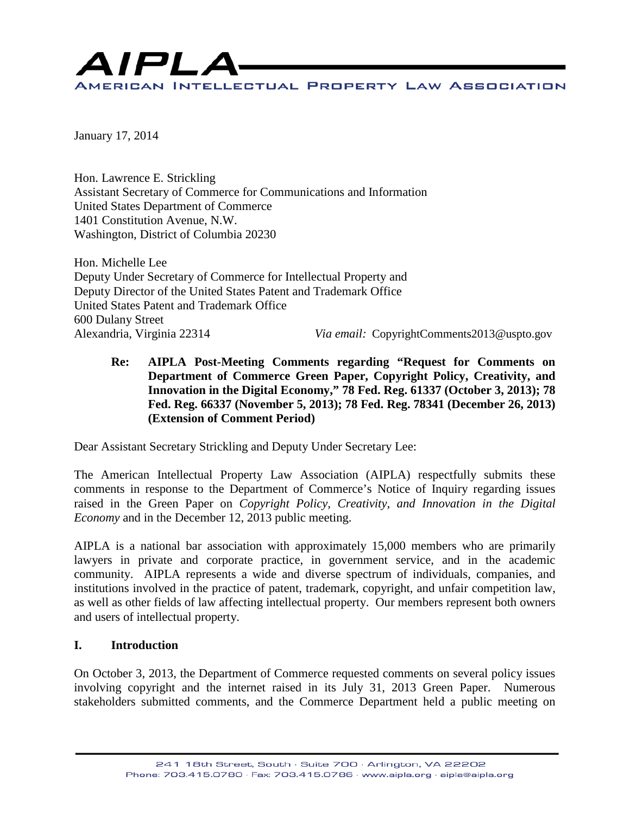

January 17, 2014

Hon. Lawrence E. Strickling Assistant Secretary of Commerce for Communications and Information United States Department of Commerce 1401 Constitution Avenue, N.W. Washington, District of Columbia 20230

Hon. Michelle Lee Deputy Under Secretary of Commerce for Intellectual Property and Deputy Director of the United States Patent and Trademark Office United States Patent and Trademark Office 600 Dulany Street Alexandria, Virginia 22314 *Via email:* CopyrightComments2013@uspto.gov

**Re: AIPLA Post-Meeting Comments regarding "Request for Comments on Department of Commerce Green Paper, Copyright Policy, Creativity, and Innovation in the Digital Economy," 78 Fed. Reg. 61337 (October 3, 2013); 78 Fed. Reg. 66337 (November 5, 2013); 78 Fed. Reg. 78341 (December 26, 2013) (Extension of Comment Period)**

Dear Assistant Secretary Strickling and Deputy Under Secretary Lee:

The American Intellectual Property Law Association (AIPLA) respectfully submits these comments in response to the Department of Commerce's Notice of Inquiry regarding issues raised in the Green Paper on *Copyright Policy, Creativity, and Innovation in the Digital Economy* and in the December 12, 2013 public meeting.

AIPLA is a national bar association with approximately 15,000 members who are primarily lawyers in private and corporate practice, in government service, and in the academic community. AIPLA represents a wide and diverse spectrum of individuals, companies, and institutions involved in the practice of patent, trademark, copyright, and unfair competition law, as well as other fields of law affecting intellectual property. Our members represent both owners and users of intellectual property.

#### **I. Introduction**

On October 3, 2013, the Department of Commerce requested comments on several policy issues involving copyright and the internet raised in its July 31, 2013 Green Paper. Numerous stakeholders submitted comments, and the Commerce Department held a public meeting on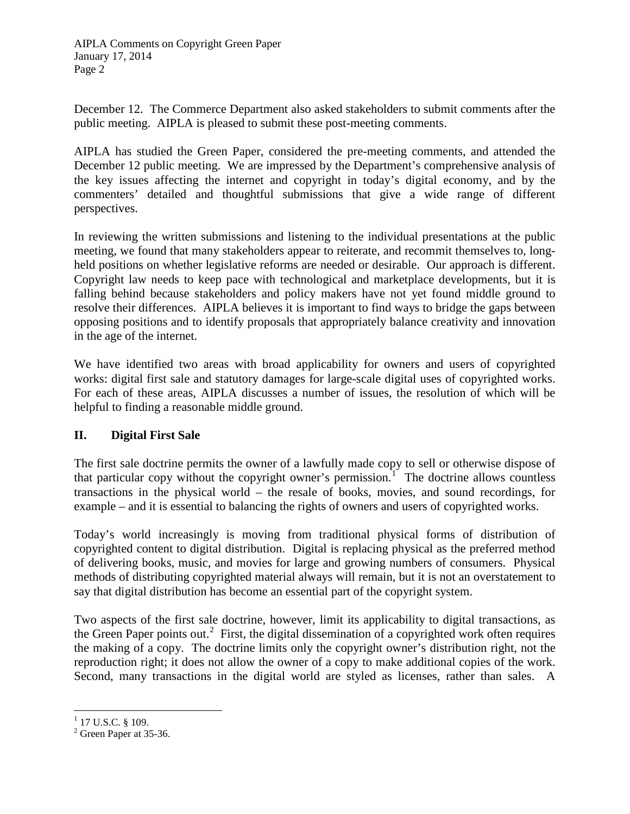December 12. The Commerce Department also asked stakeholders to submit comments after the public meeting. AIPLA is pleased to submit these post-meeting comments.

AIPLA has studied the Green Paper, considered the pre-meeting comments, and attended the December 12 public meeting. We are impressed by the Department's comprehensive analysis of the key issues affecting the internet and copyright in today's digital economy, and by the commenters' detailed and thoughtful submissions that give a wide range of different perspectives.

In reviewing the written submissions and listening to the individual presentations at the public meeting, we found that many stakeholders appear to reiterate, and recommit themselves to, longheld positions on whether legislative reforms are needed or desirable. Our approach is different. Copyright law needs to keep pace with technological and marketplace developments, but it is falling behind because stakeholders and policy makers have not yet found middle ground to resolve their differences. AIPLA believes it is important to find ways to bridge the gaps between opposing positions and to identify proposals that appropriately balance creativity and innovation in the age of the internet.

We have identified two areas with broad applicability for owners and users of copyrighted works: digital first sale and statutory damages for large-scale digital uses of copyrighted works. For each of these areas, AIPLA discusses a number of issues, the resolution of which will be helpful to finding a reasonable middle ground.

### **II. Digital First Sale**

The first sale doctrine permits the owner of a lawfully made copy to sell or otherwise dispose of that particular copy without the copyright owner's permission.<sup>[1](#page-1-0)</sup> The doctrine allows countless transactions in the physical world – the resale of books, movies, and sound recordings, for example – and it is essential to balancing the rights of owners and users of copyrighted works.

Today's world increasingly is moving from traditional physical forms of distribution of copyrighted content to digital distribution. Digital is replacing physical as the preferred method of delivering books, music, and movies for large and growing numbers of consumers. Physical methods of distributing copyrighted material always will remain, but it is not an overstatement to say that digital distribution has become an essential part of the copyright system.

Two aspects of the first sale doctrine, however, limit its applicability to digital transactions, as the Green Paper points out.<sup>[2](#page-1-1)</sup> First, the digital dissemination of a copyrighted work often requires the making of a copy. The doctrine limits only the copyright owner's distribution right, not the reproduction right; it does not allow the owner of a copy to make additional copies of the work. Second, many transactions in the digital world are styled as licenses, rather than sales. A

<span id="page-1-0"></span> $1$  17 U.S.C. § 109.

<span id="page-1-1"></span> $2$  Green Paper at 35-36.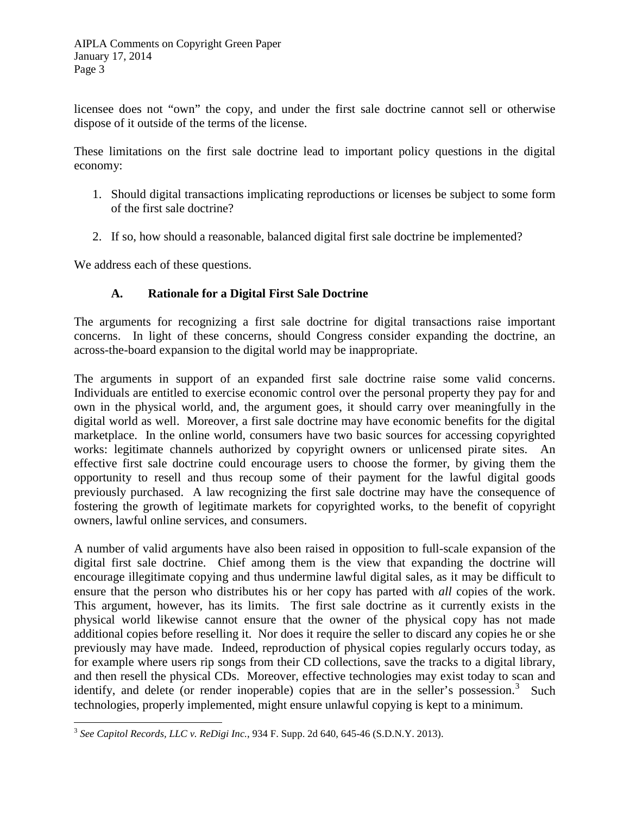licensee does not "own" the copy, and under the first sale doctrine cannot sell or otherwise dispose of it outside of the terms of the license.

These limitations on the first sale doctrine lead to important policy questions in the digital economy:

- 1. Should digital transactions implicating reproductions or licenses be subject to some form of the first sale doctrine?
- 2. If so, how should a reasonable, balanced digital first sale doctrine be implemented?

We address each of these questions.

# **A. Rationale for a Digital First Sale Doctrine**

The arguments for recognizing a first sale doctrine for digital transactions raise important concerns. In light of these concerns, should Congress consider expanding the doctrine, an across-the-board expansion to the digital world may be inappropriate.

The arguments in support of an expanded first sale doctrine raise some valid concerns. Individuals are entitled to exercise economic control over the personal property they pay for and own in the physical world, and, the argument goes, it should carry over meaningfully in the digital world as well. Moreover, a first sale doctrine may have economic benefits for the digital marketplace. In the online world, consumers have two basic sources for accessing copyrighted works: legitimate channels authorized by copyright owners or unlicensed pirate sites. An effective first sale doctrine could encourage users to choose the former, by giving them the opportunity to resell and thus recoup some of their payment for the lawful digital goods previously purchased. A law recognizing the first sale doctrine may have the consequence of fostering the growth of legitimate markets for copyrighted works, to the benefit of copyright owners, lawful online services, and consumers.

A number of valid arguments have also been raised in opposition to full-scale expansion of the digital first sale doctrine. Chief among them is the view that expanding the doctrine will encourage illegitimate copying and thus undermine lawful digital sales, as it may be difficult to ensure that the person who distributes his or her copy has parted with *all* copies of the work. This argument, however, has its limits. The first sale doctrine as it currently exists in the physical world likewise cannot ensure that the owner of the physical copy has not made additional copies before reselling it. Nor does it require the seller to discard any copies he or she previously may have made. Indeed, reproduction of physical copies regularly occurs today, as for example where users rip songs from their CD collections, save the tracks to a digital library, and then resell the physical CDs. Moreover, effective technologies may exist today to scan and identify, and delete (or render inoperable) copies that are in the seller's possession.<sup>[3](#page-2-0)</sup> Such technologies, properly implemented, might ensure unlawful copying is kept to a minimum.

<span id="page-2-0"></span><sup>3</sup> *See Capitol Records, LLC v. ReDigi Inc.*, 934 F. Supp. 2d 640, 645-46 (S.D.N.Y. 2013).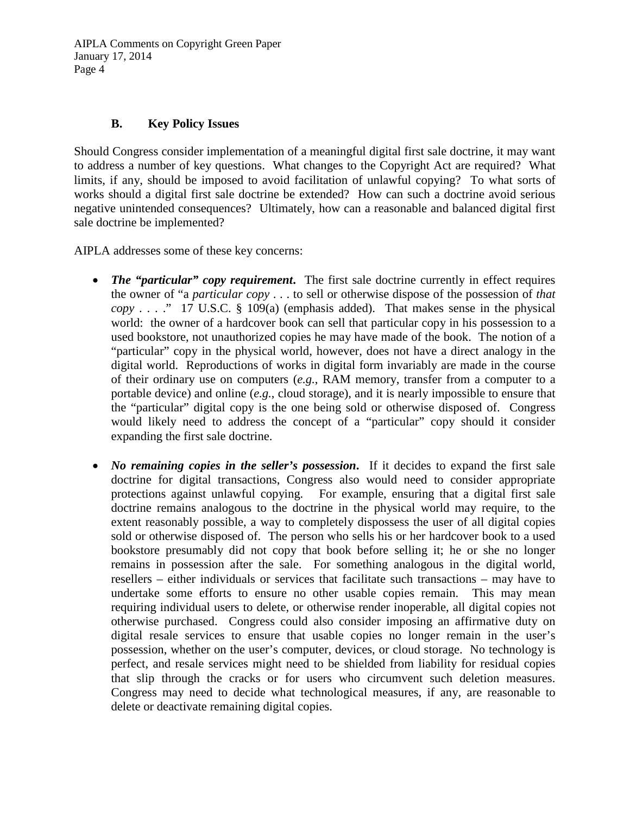### **B. Key Policy Issues**

Should Congress consider implementation of a meaningful digital first sale doctrine, it may want to address a number of key questions. What changes to the Copyright Act are required? What limits, if any, should be imposed to avoid facilitation of unlawful copying? To what sorts of works should a digital first sale doctrine be extended? How can such a doctrine avoid serious negative unintended consequences? Ultimately, how can a reasonable and balanced digital first sale doctrine be implemented?

AIPLA addresses some of these key concerns:

- *The "particular" copy requirement.* The first sale doctrine currently in effect requires the owner of "a *particular copy* . . . to sell or otherwise dispose of the possession of *that copy* . . . ." 17 U.S.C. § 109(a) (emphasis added). That makes sense in the physical world: the owner of a hardcover book can sell that particular copy in his possession to a used bookstore, not unauthorized copies he may have made of the book. The notion of a "particular" copy in the physical world, however, does not have a direct analogy in the digital world. Reproductions of works in digital form invariably are made in the course of their ordinary use on computers (*e.g.*, RAM memory, transfer from a computer to a portable device) and online (*e.g.*, cloud storage), and it is nearly impossible to ensure that the "particular" digital copy is the one being sold or otherwise disposed of. Congress would likely need to address the concept of a "particular" copy should it consider expanding the first sale doctrine.
- *No remaining copies in the seller's possession.* If it decides to expand the first sale doctrine for digital transactions, Congress also would need to consider appropriate protections against unlawful copying. For example, ensuring that a digital first sale doctrine remains analogous to the doctrine in the physical world may require, to the extent reasonably possible, a way to completely dispossess the user of all digital copies sold or otherwise disposed of. The person who sells his or her hardcover book to a used bookstore presumably did not copy that book before selling it; he or she no longer remains in possession after the sale. For something analogous in the digital world, resellers – either individuals or services that facilitate such transactions – may have to undertake some efforts to ensure no other usable copies remain. This may mean requiring individual users to delete, or otherwise render inoperable, all digital copies not otherwise purchased. Congress could also consider imposing an affirmative duty on digital resale services to ensure that usable copies no longer remain in the user's possession, whether on the user's computer, devices, or cloud storage. No technology is perfect, and resale services might need to be shielded from liability for residual copies that slip through the cracks or for users who circumvent such deletion measures. Congress may need to decide what technological measures, if any, are reasonable to delete or deactivate remaining digital copies.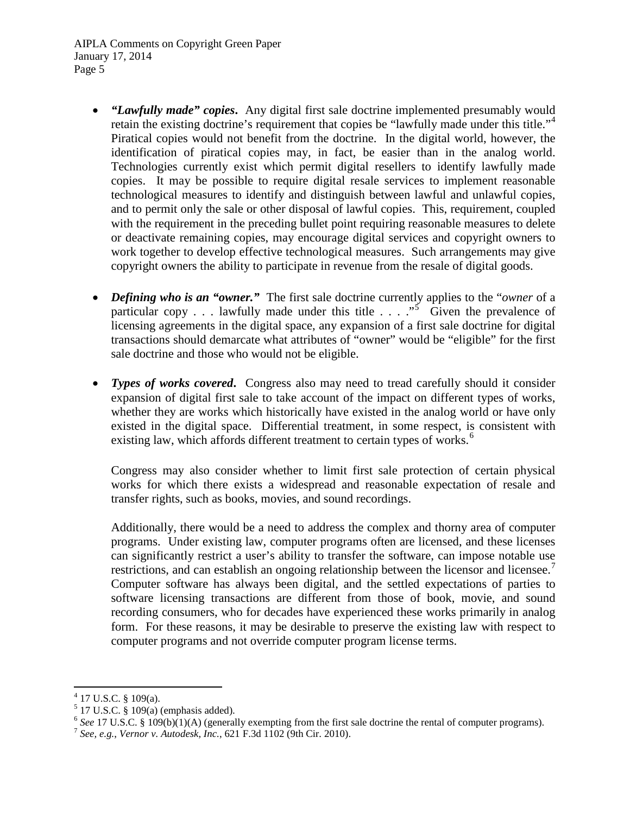- *"Lawfully made" copies***.** Any digital first sale doctrine implemented presumably would retain the existing doctrine's requirement that copies be "lawfully made under this title."<sup>[4](#page-4-0)</sup> Piratical copies would not benefit from the doctrine. In the digital world, however, the identification of piratical copies may, in fact, be easier than in the analog world. Technologies currently exist which permit digital resellers to identify lawfully made copies. It may be possible to require digital resale services to implement reasonable technological measures to identify and distinguish between lawful and unlawful copies, and to permit only the sale or other disposal of lawful copies. This, requirement, coupled with the requirement in the preceding bullet point requiring reasonable measures to delete or deactivate remaining copies, may encourage digital services and copyright owners to work together to develop effective technological measures. Such arrangements may give copyright owners the ability to participate in revenue from the resale of digital goods.
- *Defining who is an "owner."* The first sale doctrine currently applies to the "*owner* of a particular copy . . . lawfully made under this title  $\ldots$   $\ldots$  Given the prevalence of licensing agreements in the digital space, any expansion of a first sale doctrine for digital transactions should demarcate what attributes of "owner" would be "eligible" for the first sale doctrine and those who would not be eligible.
- *Types of works covered.* Congress also may need to tread carefully should it consider expansion of digital first sale to take account of the impact on different types of works, whether they are works which historically have existed in the analog world or have only existed in the digital space. Differential treatment, in some respect, is consistent with existing law, which affords different treatment to certain types of works.<sup>[6](#page-4-2)</sup>

Congress may also consider whether to limit first sale protection of certain physical works for which there exists a widespread and reasonable expectation of resale and transfer rights, such as books, movies, and sound recordings.

Additionally, there would be a need to address the complex and thorny area of computer programs. Under existing law, computer programs often are licensed, and these licenses can significantly restrict a user's ability to transfer the software, can impose notable use restrictions, and can establish an ongoing relationship between the licensor and licensee.<sup>[7](#page-4-3)</sup> Computer software has always been digital, and the settled expectations of parties to software licensing transactions are different from those of book, movie, and sound recording consumers, who for decades have experienced these works primarily in analog form. For these reasons, it may be desirable to preserve the existing law with respect to computer programs and not override computer program license terms.

 $4$  17 U.S.C. § 109(a).

<span id="page-4-1"></span><span id="page-4-0"></span> $5$  17 U.S.C. § 109(a) (emphasis added).

<span id="page-4-2"></span><sup>6</sup> *See* 17 U.S.C. § 109(b)(1)(A) (generally exempting from the first sale doctrine the rental of computer programs). <sup>7</sup> *See, e.g.*, *Vernor v. Autodesk, Inc.*, 621 F.3d 1102 (9th Cir. 2010).

<span id="page-4-3"></span>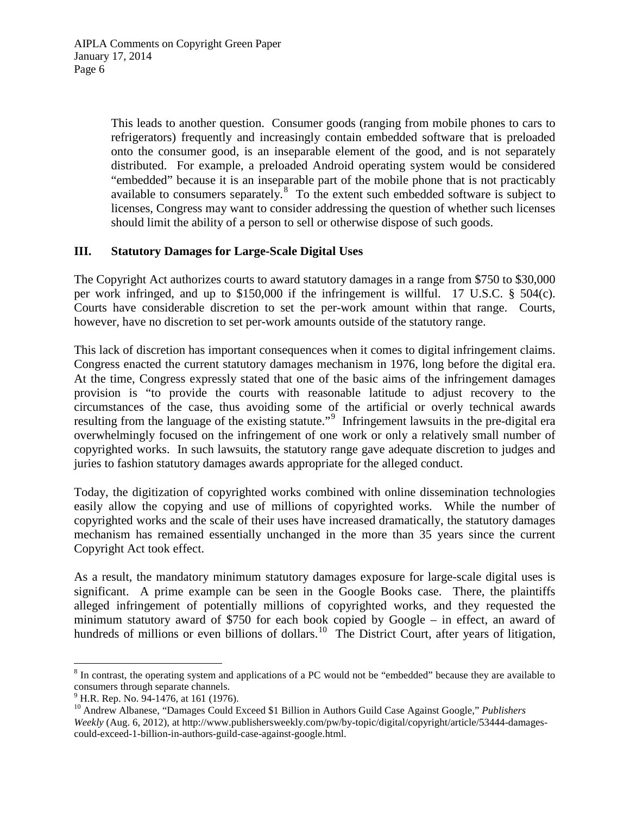This leads to another question. Consumer goods (ranging from mobile phones to cars to refrigerators) frequently and increasingly contain embedded software that is preloaded onto the consumer good, is an inseparable element of the good, and is not separately distributed. For example, a preloaded Android operating system would be considered "embedded" because it is an inseparable part of the mobile phone that is not practicably available to consumers separately.<sup>[8](#page-5-0)</sup> To the extent such embedded software is subject to licenses, Congress may want to consider addressing the question of whether such licenses should limit the ability of a person to sell or otherwise dispose of such goods.

### **III. Statutory Damages for Large-Scale Digital Uses**

The Copyright Act authorizes courts to award statutory damages in a range from \$750 to \$30,000 per work infringed, and up to \$150,000 if the infringement is willful. 17 U.S.C. § 504(c). Courts have considerable discretion to set the per-work amount within that range. Courts, however, have no discretion to set per-work amounts outside of the statutory range.

This lack of discretion has important consequences when it comes to digital infringement claims. Congress enacted the current statutory damages mechanism in 1976, long before the digital era. At the time, Congress expressly stated that one of the basic aims of the infringement damages provision is "to provide the courts with reasonable latitude to adjust recovery to the circumstances of the case, thus avoiding some of the artificial or overly technical awards resulting from the language of the existing statute."<sup>[9](#page-5-1)</sup> Infringement lawsuits in the pre-digital era overwhelmingly focused on the infringement of one work or only a relatively small number of copyrighted works. In such lawsuits, the statutory range gave adequate discretion to judges and juries to fashion statutory damages awards appropriate for the alleged conduct.

Today, the digitization of copyrighted works combined with online dissemination technologies easily allow the copying and use of millions of copyrighted works. While the number of copyrighted works and the scale of their uses have increased dramatically, the statutory damages mechanism has remained essentially unchanged in the more than 35 years since the current Copyright Act took effect.

As a result, the mandatory minimum statutory damages exposure for large-scale digital uses is significant. A prime example can be seen in the Google Books case. There, the plaintiffs alleged infringement of potentially millions of copyrighted works, and they requested the minimum statutory award of \$750 for each book copied by Google – in effect, an award of hundreds of millions or even billions of dollars.<sup>10</sup> The District Court, after years of litigation,

<span id="page-5-0"></span><sup>8</sup> In contrast, the operating system and applications of a PC would not be "embedded" because they are available to consumers through separate channels.<br><sup>9</sup> H.R. Rep. No. 94-1476, at 161 (1976).

<span id="page-5-1"></span>

<span id="page-5-2"></span><sup>&</sup>lt;sup>10</sup> Andrew Albanese, "Damages Could Exceed \$1 Billion in Authors Guild Case Against Google," *Publishers Weekly* (Aug. 6, 2012), at http://www.publishersweekly.com/pw/by-topic/digital/copyright/article/53444-damagescould-exceed-1-billion-in-authors-guild-case-against-google.html.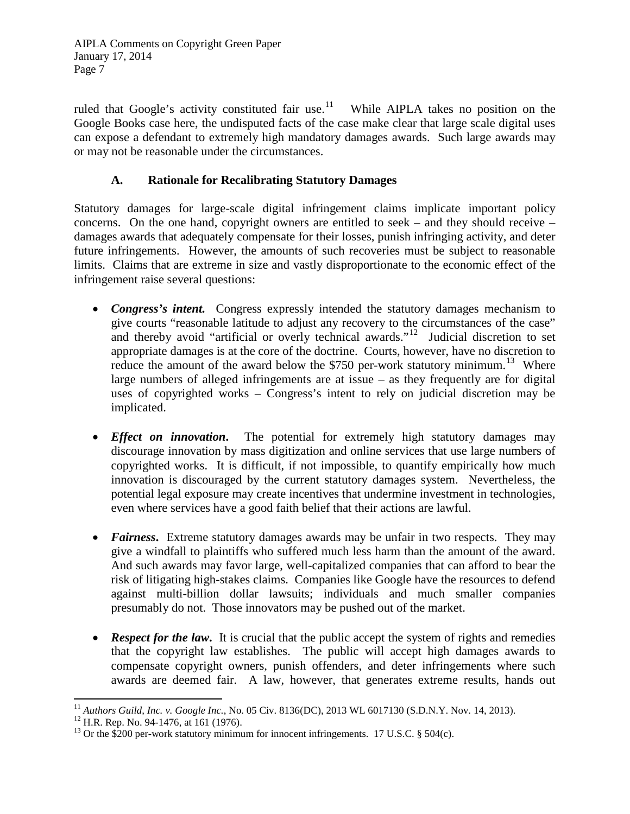ruled that Google's activity constituted fair use.<sup>11</sup> While AIPLA takes no position on the Google Books case here, the undisputed facts of the case make clear that large scale digital uses can expose a defendant to extremely high mandatory damages awards. Such large awards may or may not be reasonable under the circumstances.

# **A. Rationale for Recalibrating Statutory Damages**

Statutory damages for large-scale digital infringement claims implicate important policy concerns. On the one hand, copyright owners are entitled to seek – and they should receive – damages awards that adequately compensate for their losses, punish infringing activity, and deter future infringements. However, the amounts of such recoveries must be subject to reasonable limits. Claims that are extreme in size and vastly disproportionate to the economic effect of the infringement raise several questions:

- *Congress's intent.* Congress expressly intended the statutory damages mechanism to give courts "reasonable latitude to adjust any recovery to the circumstances of the case" and thereby avoid "artificial or overly technical awards."<sup>[12](#page-6-1)</sup> Judicial discretion to set appropriate damages is at the core of the doctrine. Courts, however, have no discretion to reduce the amount of the award below the \$750 per-work statutory minimum.<sup>[13](#page-6-2)</sup> Where large numbers of alleged infringements are at issue – as they frequently are for digital uses of copyrighted works – Congress's intent to rely on judicial discretion may be implicated.
- *Effect on innovation*. The potential for extremely high statutory damages may discourage innovation by mass digitization and online services that use large numbers of copyrighted works. It is difficult, if not impossible, to quantify empirically how much innovation is discouraged by the current statutory damages system. Nevertheless, the potential legal exposure may create incentives that undermine investment in technologies, even where services have a good faith belief that their actions are lawful.
- *Fairness*. Extreme statutory damages awards may be unfair in two respects. They may give a windfall to plaintiffs who suffered much less harm than the amount of the award. And such awards may favor large, well-capitalized companies that can afford to bear the risk of litigating high-stakes claims. Companies like Google have the resources to defend against multi-billion dollar lawsuits; individuals and much smaller companies presumably do not. Those innovators may be pushed out of the market.
- *Respect for the law*. It is crucial that the public accept the system of rights and remedies that the copyright law establishes. The public will accept high damages awards to compensate copyright owners, punish offenders, and deter infringements where such awards are deemed fair. A law, however, that generates extreme results, hands out

<span id="page-6-0"></span><sup>&</sup>lt;sup>11</sup> Authors Guild, Inc. v. Google Inc., No. 05 Civ. 8136(DC), 2013 WL 6017130 (S.D.N.Y. Nov. 14, 2013).<br><sup>12</sup> H.R. Rep. No. 94-1476, at 161 (1976).<br><sup>13</sup> Or the \$200 per-work statutory minimum for innocent infringements. 1

<span id="page-6-1"></span>

<span id="page-6-2"></span>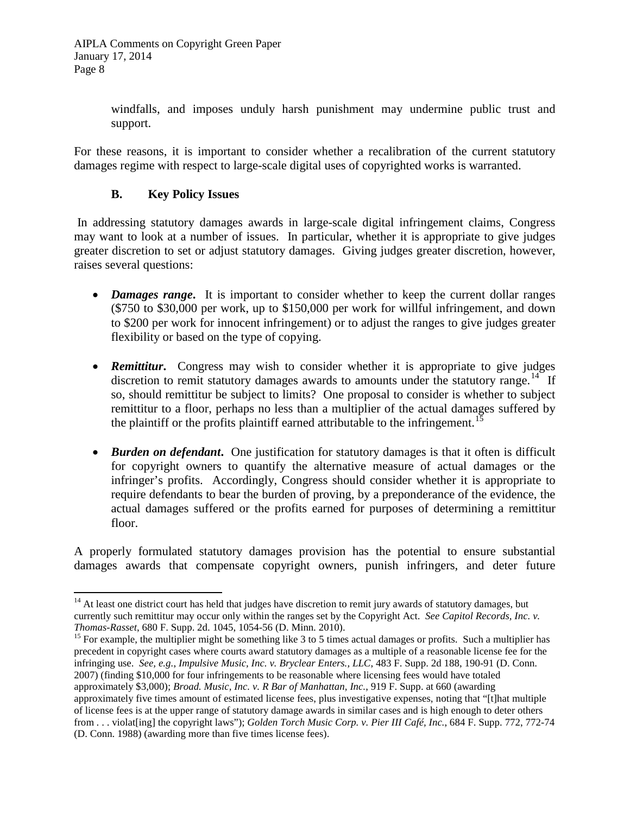windfalls, and imposes unduly harsh punishment may undermine public trust and support.

For these reasons, it is important to consider whether a recalibration of the current statutory damages regime with respect to large-scale digital uses of copyrighted works is warranted.

# **B. Key Policy Issues**

In addressing statutory damages awards in large-scale digital infringement claims, Congress may want to look at a number of issues. In particular, whether it is appropriate to give judges greater discretion to set or adjust statutory damages. Giving judges greater discretion, however, raises several questions:

- *Damages range*. It is important to consider whether to keep the current dollar ranges (\$750 to \$30,000 per work, up to \$150,000 per work for willful infringement, and down to \$200 per work for innocent infringement) or to adjust the ranges to give judges greater flexibility or based on the type of copying.
- **Remittitur.** Congress may wish to consider whether it is appropriate to give judges discretion to remit statutory damages awards to amounts under the statutory range.<sup>[14](#page-7-0)</sup> If so, should remittitur be subject to limits? One proposal to consider is whether to subject remittitur to a floor, perhaps no less than a multiplier of the actual damages suffered by the plaintiff or the profits plaintiff earned attributable to the infringement.<sup>[15](#page-7-1)</sup>
- *Burden on defendant*. One justification for statutory damages is that it often is difficult for copyright owners to quantify the alternative measure of actual damages or the infringer's profits. Accordingly, Congress should consider whether it is appropriate to require defendants to bear the burden of proving, by a preponderance of the evidence, the actual damages suffered or the profits earned for purposes of determining a remittitur floor.

A properly formulated statutory damages provision has the potential to ensure substantial damages awards that compensate copyright owners, punish infringers, and deter future

<span id="page-7-0"></span> $14$  At least one district court has held that judges have discretion to remit jury awards of statutory damages, but currently such remittitur may occur only within the ranges set by the Copyright Act. *See Capitol Records, Inc. v. Thomas-Rasset*, 680 F. Supp. 2d. 1045, 1054-56 (D. Minn. 2010).

<span id="page-7-1"></span><sup>&</sup>lt;sup>15</sup> For example, the multiplier might be something like 3 to 5 times actual damages or profits. Such a multiplier has precedent in copyright cases where courts award statutory damages as a multiple of a reasonable license fee for the infringing use. *See, e.g.*, *Impulsive Music, Inc. v. Bryclear Enters., LLC*, 483 F. Supp. 2d 188, 190-91 (D. Conn. 2007) (finding \$10,000 for four infringements to be reasonable where licensing fees would have totaled approximately \$3,000); *Broad. Music, Inc. v. R Bar of Manhattan, Inc.*, 919 F. Supp. at 660 (awarding approximately five times amount of estimated license fees, plus investigative expenses, noting that "[t]hat multiple of license fees is at the upper range of statutory damage awards in similar cases and is high enough to deter others from . . . violat[ing] the copyright laws"); *Golden Torch Music Corp. v. Pier III Café, Inc.*, 684 F. Supp. 772, 772-74 (D. Conn. 1988) (awarding more than five times license fees).